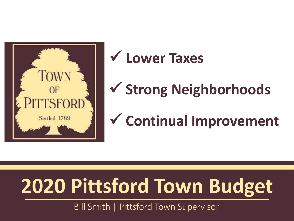

## **Lower Taxes**

# **Strong Neighborhoods**

## **Continual Improvement**

# **2020 Pittsford Town Budget**

Bill Smith | Pittsford Town Supervisor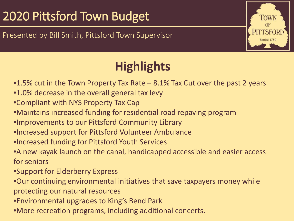Presented by Bill Smith, Pittsford Town Supervisor



## **Highlights**

- •1.5% cut in the Town Property Tax Rate 8.1% Tax Cut over the past 2 years
- •1.0% decrease in the overall general tax levy
- •Compliant with NYS Property Tax Cap
- •Maintains increased funding for residential road repaving program
- •Improvements to our Pittsford Community Library
- •Increased support for Pittsford Volunteer Ambulance
- •Increased funding for Pittsford Youth Services
- •A new kayak launch on the canal, handicapped accessible and easier access for seniors
- •Support for Elderberry Express
- •Our continuing environmental initiatives that save taxpayers money while protecting our natural resources
- •Environmental upgrades to King's Bend Park
- •More recreation programs, including additional concerts.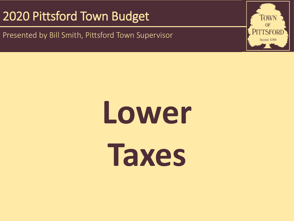2018 Pittsford Town Budget Town Budget Town Budget Town Budget Town Budget Town Budget Town Budget Town Budget Presented by Bill Smith, Pittsford Town Supervisor

> **Lower Taxes**

TOWN **OF TTSFORI** Settled 1789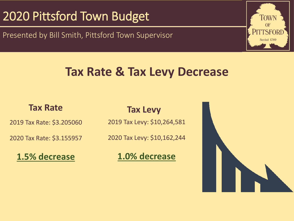Presented by Bill Smith, Pittsford Town Supervisor



## **Tax Rate & Tax Levy Decrease**

2019 Tax Rate: \$3.205060

2020 Tax Rate: \$3.155957

**1.5% decrease**

#### **Tax Rate Tax Levy**

2019 Tax Levy: \$10,264,581

2020 Tax Levy: \$10,162,244

**1.0% decrease**

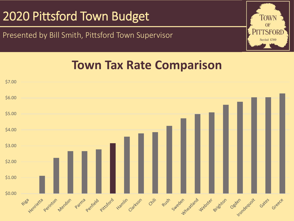Presented by Bill Smith, Pittsford Town Supervisor



## **Town Tax Rate Comparison**

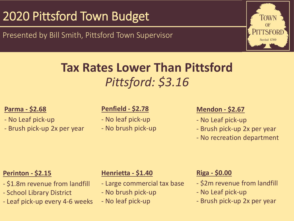Presented by Bill Smith, Pittsford Town Supervisor



## **Tax Rates Lower Than Pittsford** *Pittsford: \$3.16*

#### **Parma - \$2.68**

- No Leaf pick-up
- Brush pick-up 2x per year

#### **Penfield - \$2.78**

- No leaf pick-up - No brush pick-up

#### **Mendon - \$2.67**

- No Leaf pick-up
- Brush pick-up 2x per year
- No recreation department

#### **Perinton - \$2.15**

- \$1.8m revenue from landfill
- School Library District
- Leaf pick-up every 4-6 weeks

#### **Henrietta - \$1.40**

- Large commercial tax base
- No brush pick-up
- No leaf pick-up

#### **Riga - \$0.00**

- \$2m revenue from landfill
- No Leaf pick-up
- Brush pick-up 2x per year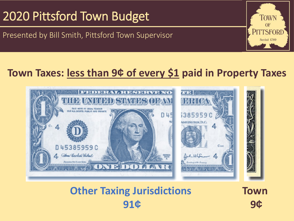Presented by Bill Smith, Pittsford Town Supervisor

### **Town Taxes: less than 9¢ of every \$1 paid in Property Taxes**



## **Other Taxing Jurisdictions 91¢**

**Town 9¢**

TOWN OF **PITTSFORD** Settled 1789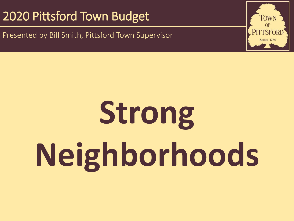Presented by Bill Smith, Pittsford Town Supervisor

# **Strong Neighborhoods**

TOWN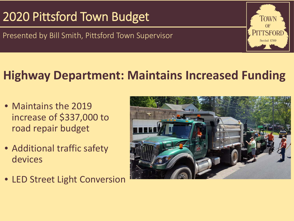Presented by Bill Smith, Pittsford Town Supervisor

## **Highway Department: Maintains Increased Funding**

- Maintains the 2019 increase of \$337,000 to road repair budget
- Additional traffic safety devices
- LED Street Light Conversion



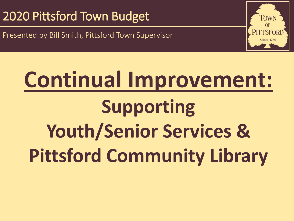$\mathcal{A}$  and  $\mathcal{A}$  are  $\mathcal{A}$  and  $\mathcal{A}$  are  $\mathcal{A}$  updates  $\mathcal{A}$ Presented by Bill Smith, Pittsford Town Supervisor

# **Continual Improvement: Supporting Youth/Senior Services & Pittsford Community Library**

**FOW**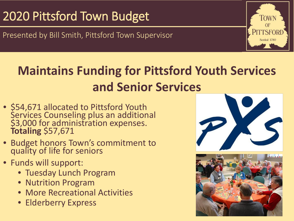Presented by Bill Smith, Pittsford Town Supervisor



## **Maintains Funding for Pittsford Youth Services and Senior Services**

- \$54,671 allocated to Pittsford Youth Services Counseling plus an additional \$3,000 for administration expenses. **Totaling** \$57,671
- Budget honors Town's commitment to quality of life for seniors
- Funds will support:
	- Tuesday Lunch Program
	- Nutrition Program
	- More Recreational Activities
	- Elderberry Express



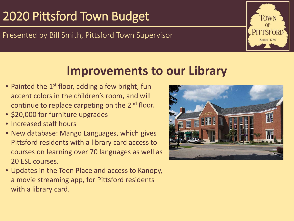#### Presented by Bill Smith, Pittsford Town Supervisor

## **Improvements to our Library**

- Painted the  $1^{st}$  floor, adding a few bright, fun accent colors in the children's room, and will continue to replace carpeting on the 2<sup>nd</sup> floor.
- \$20,000 for furniture upgrades
- Increased staff hours
- New database: Mango Languages, which gives Pittsford residents with a library card access to courses on learning over 70 languages as well as 20 ESL courses.
- Updates in the Teen Place and access to Kanopy, a movie streaming app, for Pittsford residents with a library card.



TOWN

**PITTSFORI** 

Settled 1789